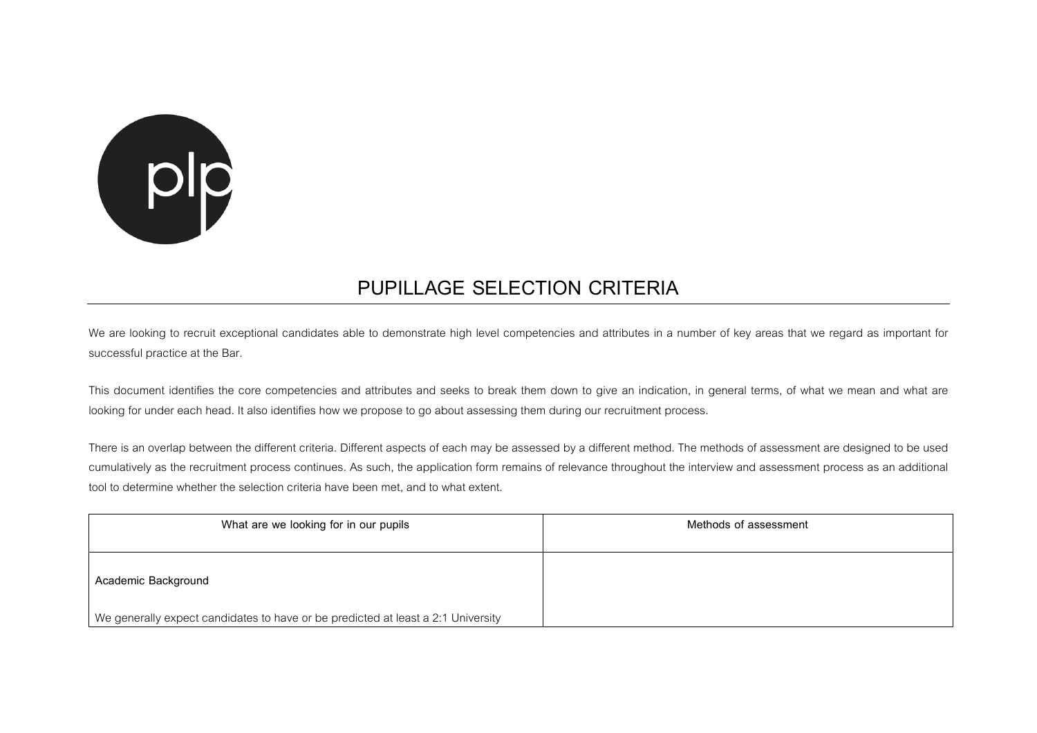

## **PUPILLAGE SELECTION CRITERIA**

We are looking to recruit exceptional candidates able to demonstrate high level competencies and attributes in a number of key areas that we regard as important for successful practice at the Bar.

This document identifies the core competencies and attributes and seeks to break them down to give an indication, in general terms, of what we mean and what are looking for under each head. It also identifies how we propose to go about assessing them during our recruitment process.

There is an overlap between the different criteria. Different aspects of each may be assessed by a different method. The methods of assessment are designed to be used cumulatively as the recruitment process continues. As such, the application form remains of relevance throughout the interview and assessment process as an additional tool to determine whether the selection criteria have been met, and to what extent.

| What are we looking for in our pupils                                            | Methods of assessment |
|----------------------------------------------------------------------------------|-----------------------|
| Academic Background                                                              |                       |
| We generally expect candidates to have or be predicted at least a 2:1 University |                       |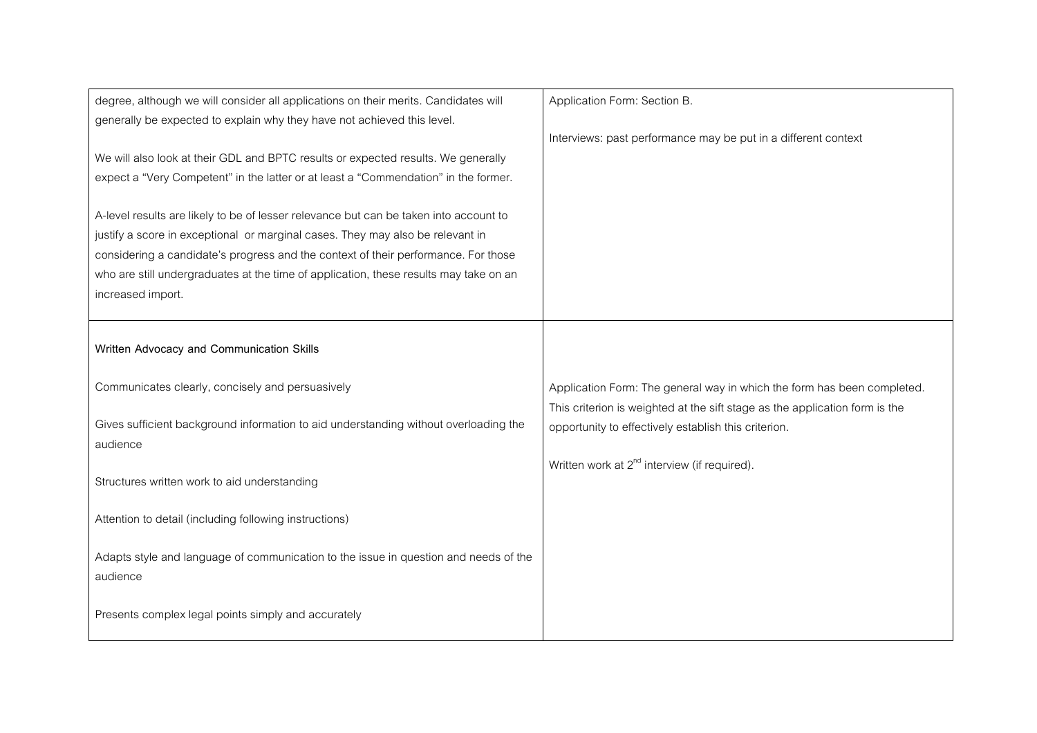| degree, although we will consider all applications on their merits. Candidates will   | Application Form: Section B.                                                |
|---------------------------------------------------------------------------------------|-----------------------------------------------------------------------------|
| generally be expected to explain why they have not achieved this level.               |                                                                             |
|                                                                                       | Interviews: past performance may be put in a different context              |
| We will also look at their GDL and BPTC results or expected results. We generally     |                                                                             |
| expect a "Very Competent" in the latter or at least a "Commendation" in the former.   |                                                                             |
|                                                                                       |                                                                             |
| A-level results are likely to be of lesser relevance but can be taken into account to |                                                                             |
| justify a score in exceptional or marginal cases. They may also be relevant in        |                                                                             |
| considering a candidate's progress and the context of their performance. For those    |                                                                             |
| who are still undergraduates at the time of application, these results may take on an |                                                                             |
| increased import.                                                                     |                                                                             |
|                                                                                       |                                                                             |
| Written Advocacy and Communication Skills                                             |                                                                             |
|                                                                                       |                                                                             |
| Communicates clearly, concisely and persuasively                                      | Application Form: The general way in which the form has been completed.     |
|                                                                                       | This criterion is weighted at the sift stage as the application form is the |
| Gives sufficient background information to aid understanding without overloading the  | opportunity to effectively establish this criterion.                        |
| audience                                                                              |                                                                             |
|                                                                                       | Written work at $2^{nd}$ interview (if required).                           |
| Structures written work to aid understanding                                          |                                                                             |
|                                                                                       |                                                                             |
| Attention to detail (including following instructions)                                |                                                                             |
|                                                                                       |                                                                             |
| Adapts style and language of communication to the issue in question and needs of the  |                                                                             |
| audience                                                                              |                                                                             |
|                                                                                       |                                                                             |
| Presents complex legal points simply and accurately                                   |                                                                             |
|                                                                                       |                                                                             |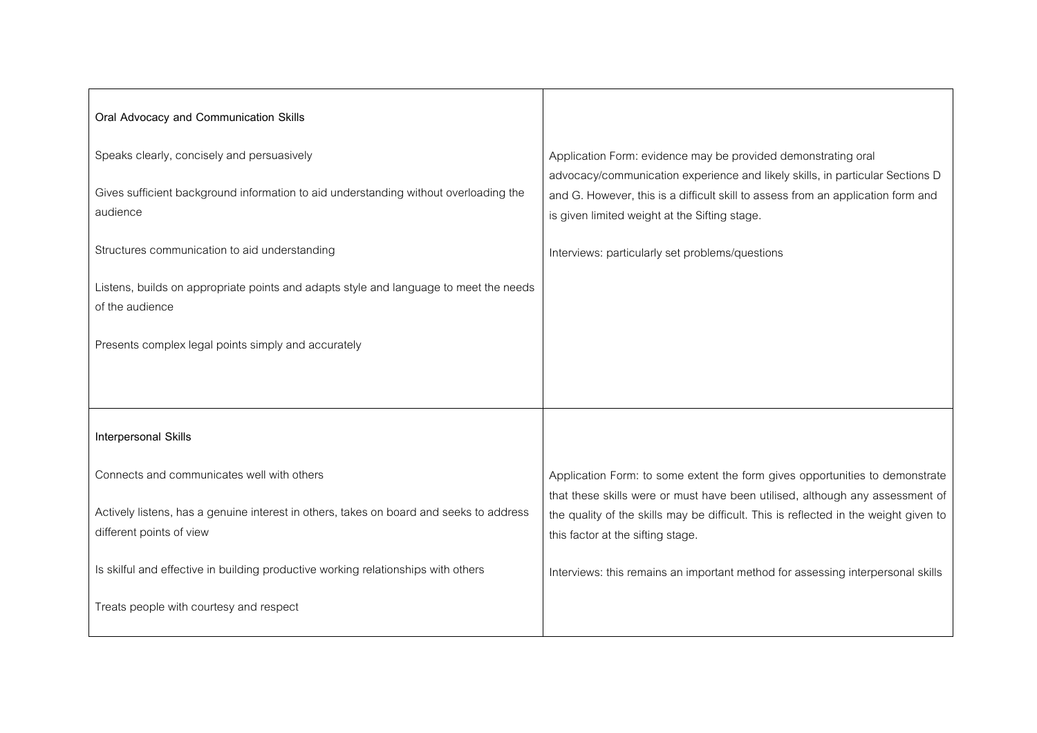| Oral Advocacy and Communication Skills                                                                              |                                                                                                                                                               |
|---------------------------------------------------------------------------------------------------------------------|---------------------------------------------------------------------------------------------------------------------------------------------------------------|
| Speaks clearly, concisely and persuasively                                                                          | Application Form: evidence may be provided demonstrating oral<br>advocacy/communication experience and likely skills, in particular Sections D                |
| Gives sufficient background information to aid understanding without overloading the<br>audience                    | and G. However, this is a difficult skill to assess from an application form and<br>is given limited weight at the Sifting stage.                             |
| Structures communication to aid understanding                                                                       | Interviews: particularly set problems/questions                                                                                                               |
| Listens, builds on appropriate points and adapts style and language to meet the needs<br>of the audience            |                                                                                                                                                               |
| Presents complex legal points simply and accurately                                                                 |                                                                                                                                                               |
|                                                                                                                     |                                                                                                                                                               |
| Interpersonal Skills                                                                                                |                                                                                                                                                               |
| Connects and communicates well with others                                                                          | Application Form: to some extent the form gives opportunities to demonstrate<br>that these skills were or must have been utilised, although any assessment of |
| Actively listens, has a genuine interest in others, takes on board and seeks to address<br>different points of view | the quality of the skills may be difficult. This is reflected in the weight given to<br>this factor at the sifting stage.                                     |
| Is skilful and effective in building productive working relationships with others                                   | Interviews: this remains an important method for assessing interpersonal skills                                                                               |
| Treats people with courtesy and respect                                                                             |                                                                                                                                                               |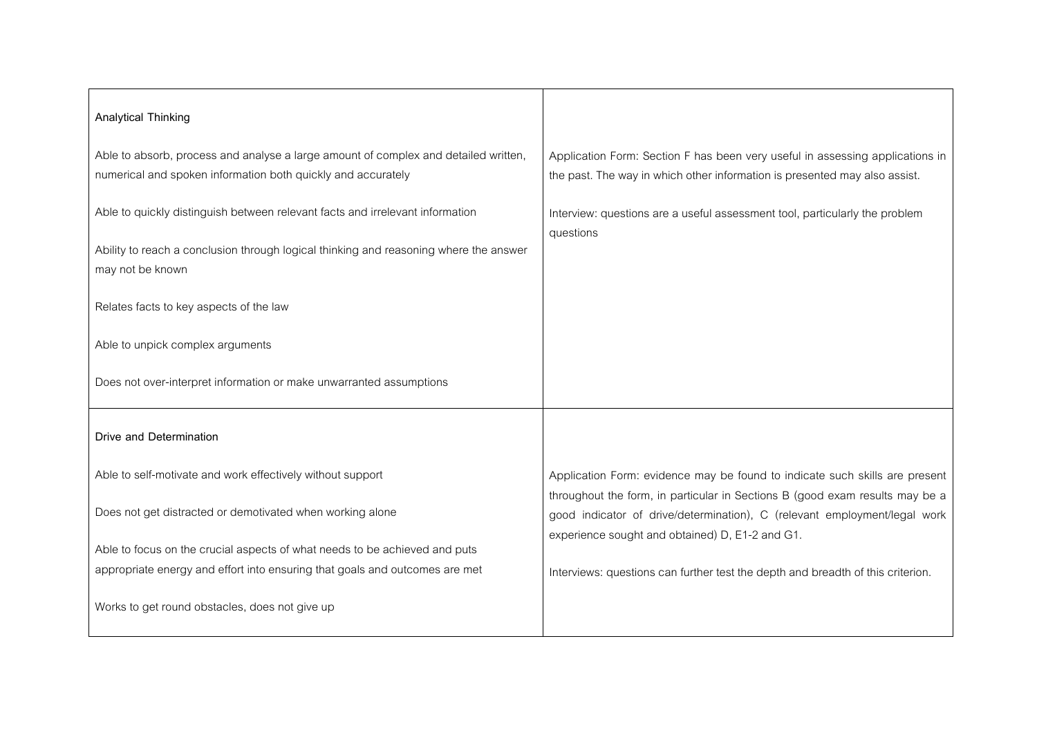| <b>Analytical Thinking</b>                                                                                                                          |                                                                                                                                                             |
|-----------------------------------------------------------------------------------------------------------------------------------------------------|-------------------------------------------------------------------------------------------------------------------------------------------------------------|
| Able to absorb, process and analyse a large amount of complex and detailed written,<br>numerical and spoken information both quickly and accurately | Application Form: Section F has been very useful in assessing applications in<br>the past. The way in which other information is presented may also assist. |
| Able to quickly distinguish between relevant facts and irrelevant information                                                                       | Interview: questions are a useful assessment tool, particularly the problem<br>questions                                                                    |
| Ability to reach a conclusion through logical thinking and reasoning where the answer<br>may not be known                                           |                                                                                                                                                             |
| Relates facts to key aspects of the law                                                                                                             |                                                                                                                                                             |
| Able to unpick complex arguments                                                                                                                    |                                                                                                                                                             |
| Does not over-interpret information or make unwarranted assumptions                                                                                 |                                                                                                                                                             |
| Drive and Determination                                                                                                                             |                                                                                                                                                             |
| Able to self-motivate and work effectively without support                                                                                          | Application Form: evidence may be found to indicate such skills are present                                                                                 |
| Does not get distracted or demotivated when working alone                                                                                           | throughout the form, in particular in Sections B (good exam results may be a<br>good indicator of drive/determination), C (relevant employment/legal work   |
| Able to focus on the crucial aspects of what needs to be achieved and puts                                                                          | experience sought and obtained) D, E1-2 and G1.                                                                                                             |
| appropriate energy and effort into ensuring that goals and outcomes are met                                                                         | Interviews: questions can further test the depth and breadth of this criterion.                                                                             |
| Works to get round obstacles, does not give up                                                                                                      |                                                                                                                                                             |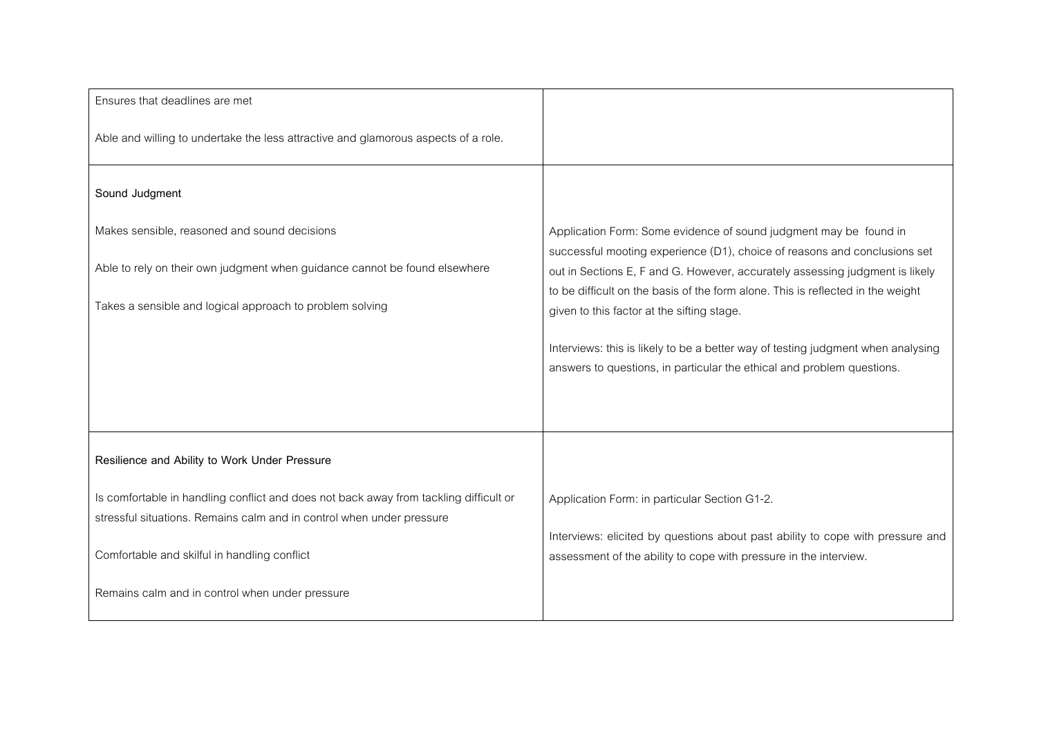| Ensures that deadlines are met                                                                                                                                 |                                                                                                                                                            |
|----------------------------------------------------------------------------------------------------------------------------------------------------------------|------------------------------------------------------------------------------------------------------------------------------------------------------------|
| Able and willing to undertake the less attractive and glamorous aspects of a role.                                                                             |                                                                                                                                                            |
| Sound Judgment                                                                                                                                                 |                                                                                                                                                            |
| Makes sensible, reasoned and sound decisions                                                                                                                   | Application Form: Some evidence of sound judgment may be found in                                                                                          |
| Able to rely on their own judgment when guidance cannot be found elsewhere                                                                                     | successful mooting experience (D1), choice of reasons and conclusions set<br>out in Sections E, F and G. However, accurately assessing judgment is likely  |
| Takes a sensible and logical approach to problem solving                                                                                                       | to be difficult on the basis of the form alone. This is reflected in the weight<br>given to this factor at the sifting stage.                              |
|                                                                                                                                                                | Interviews: this is likely to be a better way of testing judgment when analysing<br>answers to questions, in particular the ethical and problem questions. |
|                                                                                                                                                                |                                                                                                                                                            |
| Resilience and Ability to Work Under Pressure                                                                                                                  |                                                                                                                                                            |
| Is comfortable in handling conflict and does not back away from tackling difficult or<br>stressful situations. Remains calm and in control when under pressure | Application Form: in particular Section G1-2.                                                                                                              |
| Comfortable and skilful in handling conflict                                                                                                                   | Interviews: elicited by questions about past ability to cope with pressure and<br>assessment of the ability to cope with pressure in the interview.        |
| Remains calm and in control when under pressure                                                                                                                |                                                                                                                                                            |